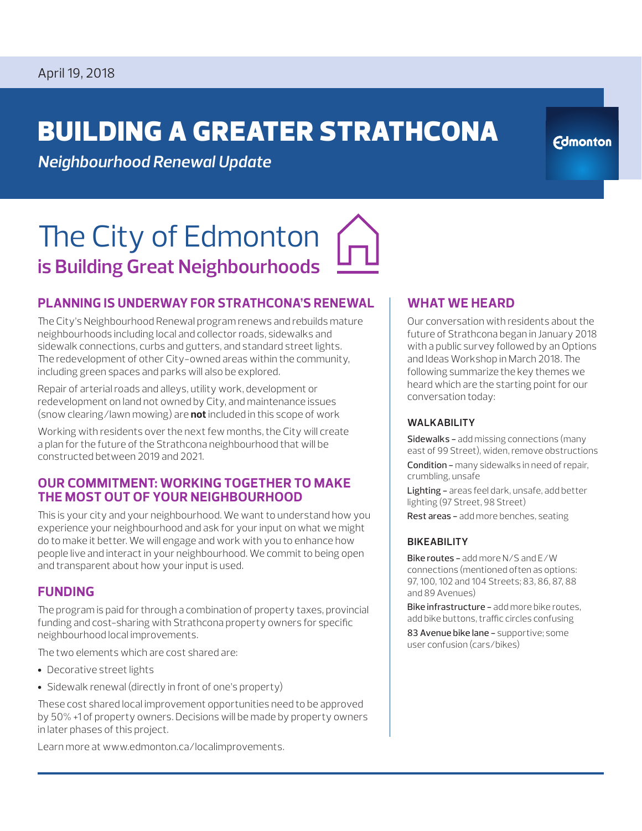# BUILDING A GREATER STRATHCONA

**Edmonton** 

*Neighbourhood Renewal Update*

# The City of Edmonton **is Building Great Neighbourhoods**

## **PLANNING IS UNDERWAY FOR STRATHCONA'S RENEWAL**

The City's Neighbourhood Renewal program renews and rebuilds mature neighbourhoods including local and collector roads, sidewalks and sidewalk connections, curbs and gutters, and standard street lights. The redevelopment of other City-owned areas within the community, including green spaces and parks will also be explored.

Repair of arterial roads and alleys, utility work, development or redevelopment on land not owned by City, and maintenance issues (snow clearing/lawn mowing) are **not** included in this scope of work

Working with residents over the next few months, the City will create a plan for the future of the Strathcona neighbourhood that will be constructed between 2019 and 2021.

### **OUR COMMITMENT: WORKING TOGETHER TO MAKE THE MOST OUT OF YOUR NEIGHBOURHOOD**

This is your city and your neighbourhood. We want to understand how you experience your neighbourhood and ask for your input on what we might do to make it better. We will engage and work with you to enhance how people live and interact in your neighbourhood. We commit to being open and transparent about how your input is used.

### **FUNDING**

The program is paid for through a combination of property taxes, provincial funding and cost-sharing with Strathcona property owners for specific neighbourhood local improvements.

The two elements which are cost shared are:

- Decorative street lights
- Sidewalk renewal (directly in front of one's property)

These cost shared local improvement opportunities need to be approved by 50% +1 of property owners. Decisions will be made by property owners in later phases of this project.

Learn more at www.edmonton.ca/localimprovements.

## **WHAT WE HEARD**

Our conversation with residents about the future of Strathcona began in January 2018 with a public survey followed by an Options and Ideas Workshop in March 2018. The following summarize the key themes we heard which are the starting point for our conversation today:

#### **WALKABILITY**

Sidewalks - add missing connections (many east of 99 Street), widen, remove obstructions Condition - many sidewalks in need of repair, crumbling, unsafe

Lighting - areas feel dark, unsafe, add better lighting (97 Street, 98 Street)

Rest areas - add more benches, seating

#### **BIKEABILITY**

Bike routes - add more N/S and E/W connections (mentioned often as options: 97, 100, 102 and 104 Streets; 83, 86, 87, 88 and 89 Avenues)

Bike infrastructure - add more bike routes, add bike buttons, traffic circles confusing

83 Avenue bike lane - supportive; some user confusion (cars/bikes)